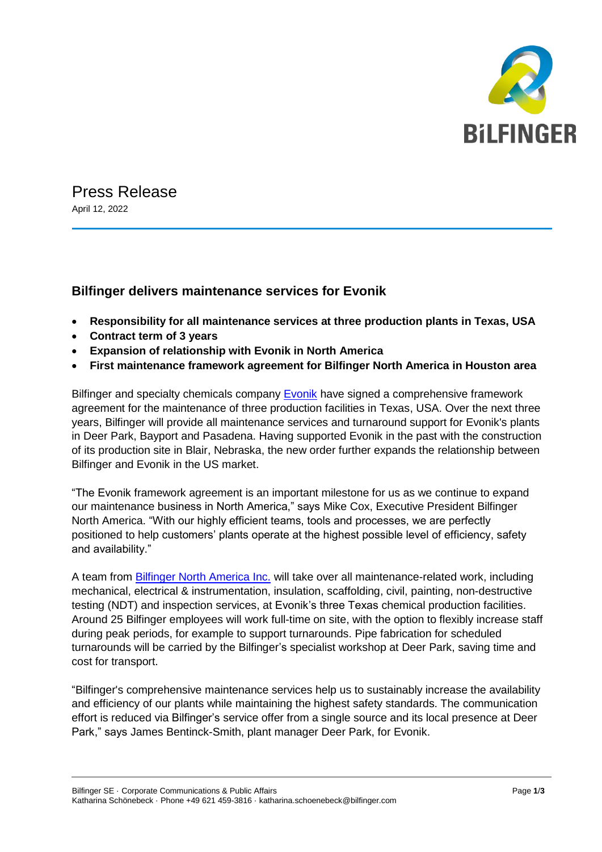

Press Release April 12, 2022

## **Bilfinger delivers maintenance services for Evonik**

- **Responsibility for all maintenance services at three production plants in Texas, USA**
- **Contract term of 3 years**
- **Expansion of relationship with Evonik in North America**
- **First maintenance framework agreement for Bilfinger North America in Houston area**

Bilfinger and specialty chemicals company [Evonik](https://corporate.evonik.com/en) have signed a comprehensive framework agreement for the maintenance of three production facilities in Texas, USA. Over the next three years, Bilfinger will provide all maintenance services and turnaround support for Evonik's plants in Deer Park, Bayport and Pasadena. Having supported Evonik in the past with the construction of its production site in Blair, Nebraska, the new order further expands the relationship between Bilfinger and Evonik in the US market.

"The Evonik framework agreement is an important milestone for us as we continue to expand our maintenance business in North America," says Mike Cox, Executive President Bilfinger North America. "With our highly efficient teams, tools and processes, we are perfectly positioned to help customers' plants operate at the highest possible level of efficiency, safety and availability."

A team from **[Bilfinger North America Inc.](https://northamerica.bilfinger.com/)** will take over all maintenance-related work, including mechanical, electrical & instrumentation, insulation, scaffolding, civil, painting, non-destructive testing (NDT) and inspection services, at Evonik's three Texas chemical production facilities. Around 25 Bilfinger employees will work full-time on site, with the option to flexibly increase staff during peak periods, for example to support turnarounds. Pipe fabrication for scheduled turnarounds will be carried by the Bilfinger's specialist workshop at Deer Park, saving time and cost for transport.

"Bilfinger's comprehensive maintenance services help us to sustainably increase the availability and efficiency of our plants while maintaining the highest safety standards. The communication effort is reduced via Bilfinger's service offer from a single source and its local presence at Deer Park," says James Bentinck-Smith, plant manager Deer Park, for Evonik.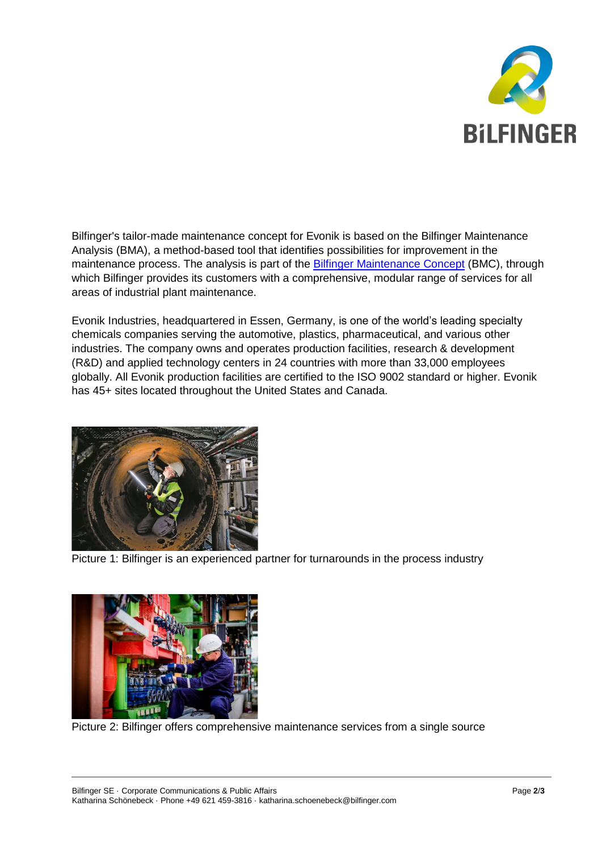

Bilfinger's tailor-made maintenance concept for Evonik is based on the Bilfinger Maintenance Analysis (BMA), a method-based tool that identifies possibilities for improvement in the maintenance process. The analysis is part of the **Bilfinger Maintenance Concept (BMC)**, through which Bilfinger provides its customers with a comprehensive, modular range of services for all areas of industrial plant maintenance.

Evonik Industries, headquartered in Essen, Germany, is one of the world's leading specialty chemicals companies serving the automotive, plastics, pharmaceutical, and various other industries. The company owns and operates production facilities, research & development (R&D) and applied technology centers in 24 countries with more than 33,000 employees globally. All Evonik production facilities are certified to the ISO 9002 standard or higher. Evonik has 45+ sites located throughout the United States and Canada.



Picture 1: Bilfinger is an experienced partner for turnarounds in the process industry



Picture 2: Bilfinger offers comprehensive maintenance services from a single source